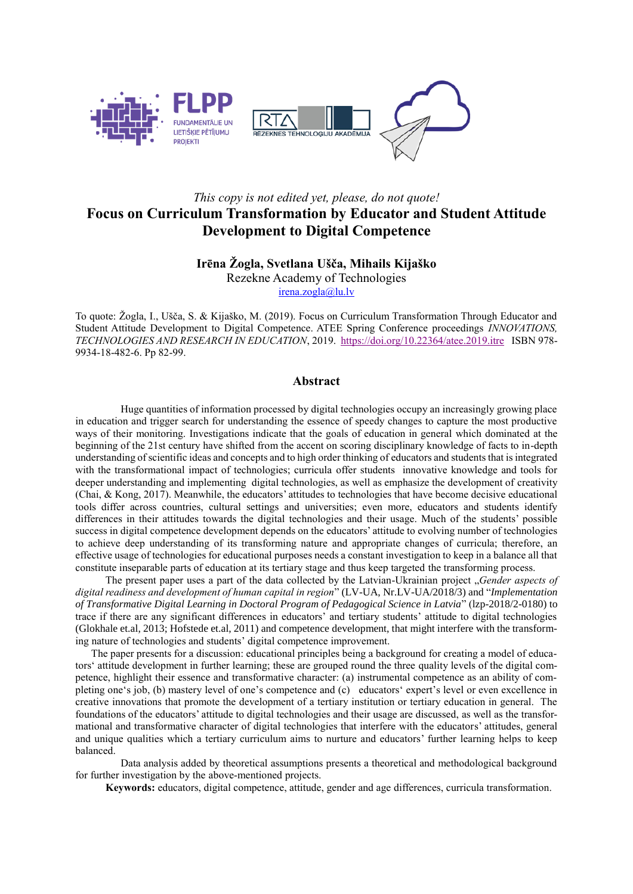

# *This copy is not edited yet, please, do not quote!*  **Focus on Curriculum Transformation by Educator and Student Attitude Development to Digital Competence**

## **Irēna Žogla, Svetlana Ušča, Mihails Kijaško**

Rezekne Academy of Technologies

[irena.zogla@lu.lv](mailto:irena.zogla@lu.lv)

To quote: Žogla, I., Ušča, S. & Kijaško, M. (2019). Focus on Curriculum Transformation Through Educator and Student Attitude Development to Digital Competence. ATEE Spring Conference proceedings *INNOVATIONS, TECHNOLOGIES AND RESEARCH IN EDUCATION*, 2019.<https://doi.org/10.22364/atee.2019.itre>ISBN 978- 9934-18-482-6. Pp 82-99.

#### **Abstract**

Huge quantities of information processed by digital technologies occupy an increasingly growing place in education and trigger search for understanding the essence of speedy changes to capture the most productive ways of their monitoring. Investigations indicate that the goals of education in general which dominated at the beginning of the 21st century have shifted from the accent on scoring disciplinary knowledge of facts to in-depth understanding of scientific ideas and concepts and to high order thinking of educators and students that is integrated with the transformational impact of technologies; curricula offer students innovative knowledge and tools for deeper understanding and implementing digital technologies, as well as emphasize the development of creativity (Chai, & Kong, 2017). Meanwhile, the educators' attitudes to technologies that have become decisive educational tools differ across countries, cultural settings and universities; even more, educators and students identify differences in their attitudes towards the digital technologies and their usage. Much of the students' possible success in digital competence development depends on the educators' attitude to evolving number of technologies to achieve deep understanding of its transforming nature and appropriate changes of curricula; therefore, an effective usage of technologies for educational purposes needs a constant investigation to keep in a balance all that constitute inseparable parts of education at its tertiary stage and thus keep targeted the transforming process.

The present paper uses a part of the data collected by the Latvian-Ukrainian project "*Gender aspects of digital readiness and development of human capital in region*" (LV-UA, Nr.LV-UA/2018/3) and "*Implementation of Transformative Digital Learning in Doctoral Program of Pedagogical Science in Latvia*" (lzp-2018/2-0180) to trace if there are any significant differences in educators' and tertiary students' attitude to digital technologies (Glokhale et.al, 2013; Hofstede et.al, 2011) and competence development, that might interfere with the transforming nature of technologies and students' digital competence improvement.

 The paper presents for a discussion: educational principles being a background for creating a model of educators' attitude development in further learning; these are grouped round the three quality levels of the digital competence, highlight their essence and transformative character: (a) instrumental competence as an ability of completing one's job, (b) mastery level of one's competence and (c) educators' expert's level or even excellence in creative innovations that promote the development of a tertiary institution or tertiary education in general. The foundations of the educators' attitude to digital technologies and their usage are discussed, as well as the transformational and transformative character of digital technologies that interfere with the educators' attitudes, general and unique qualities which a tertiary curriculum aims to nurture and educators' further learning helps to keep balanced.

Data analysis added by theoretical assumptions presents a theoretical and methodological background for further investigation by the above-mentioned projects.

**Keywords:** educators, digital competence, attitude, gender and age differences, curricula transformation.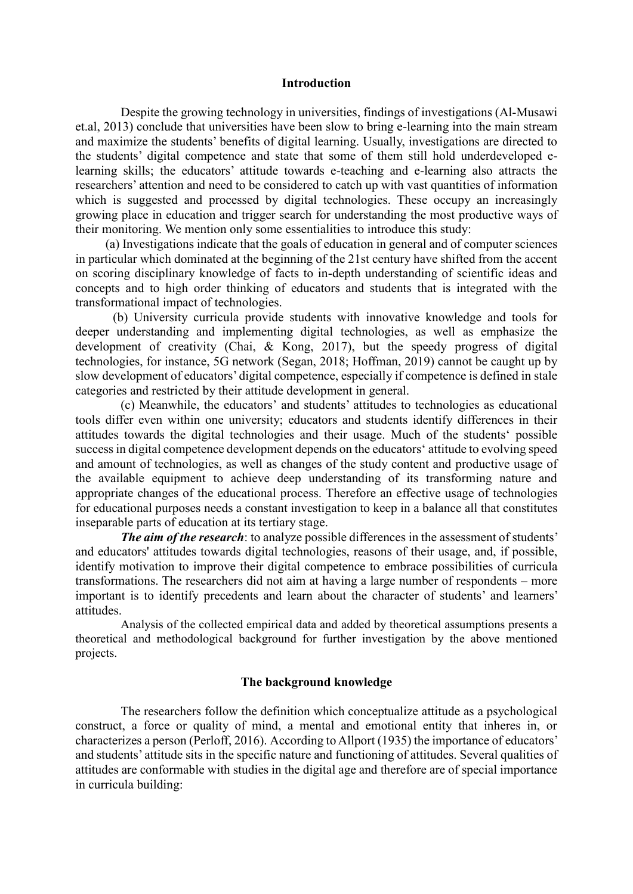### **Introduction**

Despite the growing technology in universities, findings of investigations (Al-Musawi et.al, 2013) conclude that universities have been slow to bring e-learning into the main stream and maximize the students' benefits of digital learning. Usually, investigations are directed to the students' digital competence and state that some of them still hold underdeveloped elearning skills; the educators' attitude towards e-teaching and e-learning also attracts the researchers' attention and need to be considered to catch up with vast quantities of information which is suggested and processed by digital technologies. These occupy an increasingly growing place in education and trigger search for understanding the most productive ways of their monitoring. We mention only some essentialities to introduce this study:

(a) Investigations indicate that the goals of education in general and of computer sciences in particular which dominated at the beginning of the 21st century have shifted from the accent on scoring disciplinary knowledge of facts to in-depth understanding of scientific ideas and concepts and to high order thinking of educators and students that is integrated with the transformational impact of technologies.

(b) University curricula provide students with innovative knowledge and tools for deeper understanding and implementing digital technologies, as well as emphasize the development of creativity (Chai, & Kong, 2017), but the speedy progress of digital technologies, for instance, 5G network (Segan, 2018; Hoffman, 2019) cannot be caught up by slow development of educators' digital competence, especially if competence is defined in stale categories and restricted by their attitude development in general.

(c) Meanwhile, the educators' and students' attitudes to technologies as educational tools differ even within one university; educators and students identify differences in their attitudes towards the digital technologies and their usage. Much of the students' possible success in digital competence development depends on the educators' attitude to evolving speed and amount of technologies, as well as changes of the study content and productive usage of the available equipment to achieve deep understanding of its transforming nature and appropriate changes of the educational process. Therefore an effective usage of technologies for educational purposes needs a constant investigation to keep in a balance all that constitutes inseparable parts of education at its tertiary stage.

**The aim of the research**: to analyze possible differences in the assessment of students' and educators' attitudes towards digital technologies, reasons of their usage, and, if possible, identify motivation to improve their digital competence to embrace possibilities of curricula transformations. The researchers did not aim at having a large number of respondents – more important is to identify precedents and learn about the character of students' and learners' attitudes.

Analysis of the collected empirical data and added by theoretical assumptions presents a theoretical and methodological background for further investigation by the above mentioned projects.

### **The background knowledge**

The researchers follow the definition which conceptualize attitude as a psychological construct, a force or quality of mind, a mental and emotional entity that inheres in, or characterizes a person (Perloff, 2016). According to Allport (1935) the importance of educators' and students' attitude sits in the specific nature and functioning of attitudes. Several qualities of attitudes are conformable with studies in the digital age and therefore are of special importance in curricula building: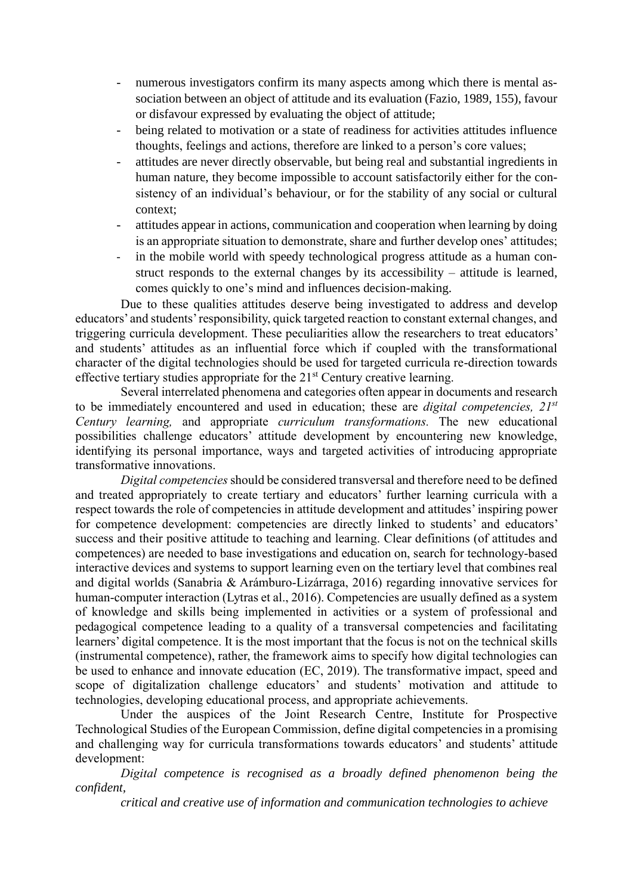- numerous investigators confirm its many aspects among which there is mental association between an object of attitude and its evaluation (Fazio, 1989, 155), favour or disfavour expressed by evaluating the object of attitude;
- being related to motivation or a state of readiness for activities attitudes influence thoughts, feelings and actions, therefore are linked to a person's core values;
- attitudes are never directly observable, but being real and substantial ingredients in human nature, they become impossible to account satisfactorily either for the consistency of an individual's behaviour, or for the stability of any social or cultural context;
- attitudes appear in actions, communication and cooperation when learning by doing is an appropriate situation to demonstrate, share and further develop ones' attitudes;
- in the mobile world with speedy technological progress attitude as a human construct responds to the external changes by its accessibility – attitude is learned, comes quickly to one's mind and influences decision-making.

Due to these qualities attitudes deserve being investigated to address and develop educators' and students' responsibility, quick targeted reaction to constant external changes, and triggering curricula development. These peculiarities allow the researchers to treat educators' and students' attitudes as an influential force which if coupled with the transformational character of the digital technologies should be used for targeted curricula re-direction towards effective tertiary studies appropriate for the  $21<sup>st</sup>$  Century creative learning.

Several interrelated phenomena and categories often appear in documents and research to be immediately encountered and used in education; these are *digital competencies, 21st Century learning,* and appropriate *curriculum transformations.* The new educational possibilities challenge educators' attitude development by encountering new knowledge, identifying its personal importance, ways and targeted activities of introducing appropriate transformative innovations.

*Digital competencies*should be considered transversal and therefore need to be defined and treated appropriately to create tertiary and educators' further learning curricula with a respect towards the role of competencies in attitude development and attitudes' inspiring power for competence development: competencies are directly linked to students' and educators' success and their positive attitude to teaching and learning. Clear definitions (of attitudes and competences) are needed to base investigations and education on, search for technology-based interactive devices and systems to support learning even on the tertiary level that combines real and digital worlds (Sanabria & Arámburo-Lizárraga, 2016) regarding innovative services for human-computer interaction (Lytras et al., 2016). Competencies are usually defined as a system of knowledge and skills being implemented in activities or a system of professional and pedagogical competence leading to a quality of a transversal competencies and facilitating learners' digital competence. It is the most important that the focus is not on the technical skills (instrumental competence), rather, the framework aims to specify how digital technologies can be used to enhance and innovate education (EC, 2019). The transformative impact, speed and scope of digitalization challenge educators' and students' motivation and attitude to technologies, developing educational process, and appropriate achievements.

Under the auspices of the Joint Research Centre, Institute for Prospective Technological Studies of the European Commission, define digital competencies in a promising and challenging way for curricula transformations towards educators' and students' attitude development:

*Digital competence is recognised as a broadly defined phenomenon being the confident,*

*critical and creative use of information and communication technologies to achieve*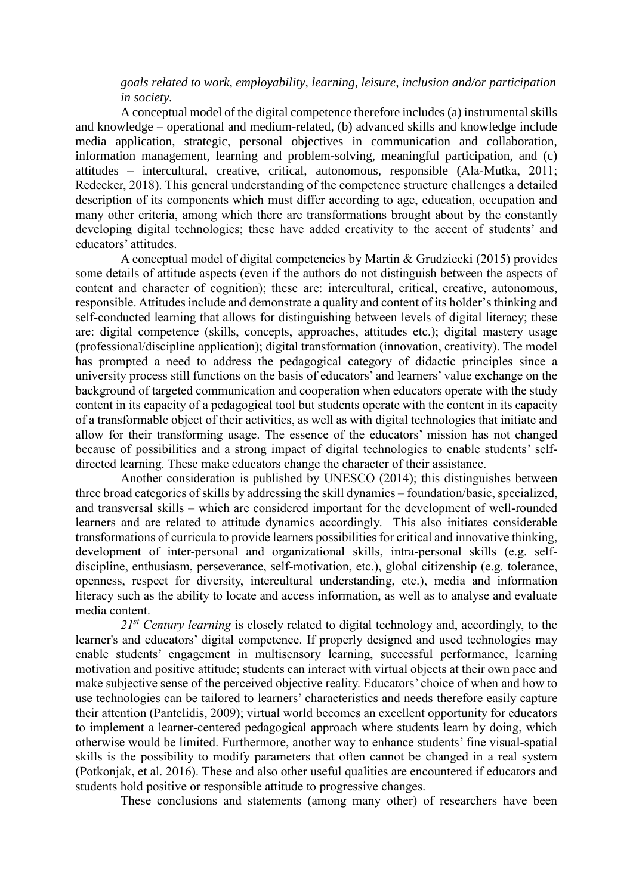# *goals related to work, employability, learning, leisure, inclusion and/or participation in society.*

A conceptual model of the digital competence therefore includes (a) instrumental skills and knowledge – operational and medium-related, (b) advanced skills and knowledge include media application, strategic, personal objectives in communication and collaboration, information management, learning and problem-solving, meaningful participation, and (c) attitudes – intercultural, creative, critical, autonomous, responsible (Ala-Mutka, 2011; Redecker, 2018). This general understanding of the competence structure challenges a detailed description of its components which must differ according to age, education, occupation and many other criteria, among which there are transformations brought about by the constantly developing digital technologies; these have added creativity to the accent of students' and educators' attitudes.

A conceptual model of digital competencies by Martin & Grudziecki (2015) provides some details of attitude aspects (even if the authors do not distinguish between the aspects of content and character of cognition); these are: intercultural, critical, creative, autonomous, responsible. Attitudes include and demonstrate a quality and content of its holder's thinking and self-conducted learning that allows for distinguishing between levels of digital literacy; these are: digital competence (skills, concepts, approaches, attitudes etc.); digital mastery usage (professional/discipline application); digital transformation (innovation, creativity). The model has prompted a need to address the pedagogical category of didactic principles since a university process still functions on the basis of educators' and learners' value exchange on the background of targeted communication and cooperation when educators operate with the study content in its capacity of a pedagogical tool but students operate with the content in its capacity of a transformable object of their activities, as well as with digital technologies that initiate and allow for their transforming usage. The essence of the educators' mission has not changed because of possibilities and a strong impact of digital technologies to enable students' selfdirected learning. These make educators change the character of their assistance.

Another consideration is published by UNESCO (2014); this distinguishes between three broad categories of skills by addressing the skill dynamics – foundation/basic, specialized, and transversal skills – which are considered important for the development of well-rounded learners and are related to attitude dynamics accordingly. This also initiates considerable transformations of curricula to provide learners possibilities for critical and innovative thinking, development of inter-personal and organizational skills, intra-personal skills (e.g. selfdiscipline, enthusiasm, perseverance, self-motivation, etc.), global citizenship (e.g. tolerance, openness, respect for diversity, intercultural understanding, etc.), media and information literacy such as the ability to locate and access information, as well as to analyse and evaluate media content.

*21st Century learning* is closely related to digital technology and, accordingly, to the learner's and educators' digital competence. If properly designed and used technologies may enable students' engagement in multisensory learning, successful performance, learning motivation and positive attitude; students can interact with virtual objects at their own pace and make subjective sense of the perceived objective reality. Educators' choice of when and how to use technologies can be tailored to learners' characteristics and needs therefore easily capture their attention (Pantelidis, 2009); virtual world becomes an excellent opportunity for educators to implement a learner-centered pedagogical approach where students learn by doing, which otherwise would be limited. Furthermore, another way to enhance students' fine visual-spatial skills is the possibility to modify parameters that often cannot be changed in a real system (Potkonjak, et al. 2016). These and also other useful qualities are encountered if educators and students hold positive or responsible attitude to progressive changes.

These conclusions and statements (among many other) of researchers have been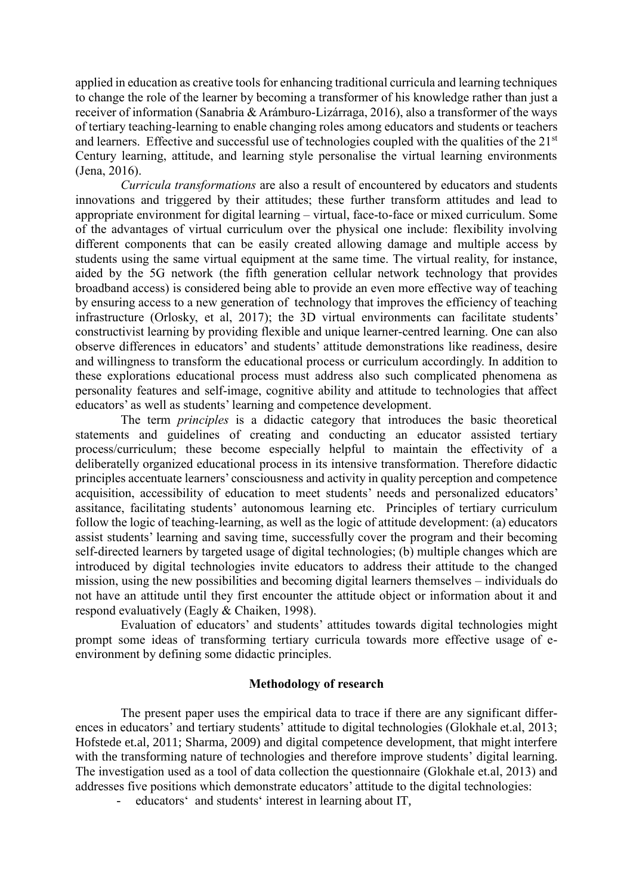applied in education as creative tools for enhancing traditional curricula and learning techniques to change the role of the learner by becoming a transformer of his knowledge rather than just a receiver of information (Sanabria & Arámburo-Lizárraga, 2016), also a transformer of the ways of tertiary teaching-learning to enable changing roles among educators and students or teachers and learners. Effective and successful use of technologies coupled with the qualities of the 21<sup>st</sup> Century learning, attitude, and learning style personalise the virtual learning environments (Jena, 2016).

*Curricula transformations* are also a result of encountered by educators and students innovations and triggered by their attitudes; these further transform attitudes and lead to appropriate environment for digital learning – virtual, face-to-face or mixed curriculum. Some of the advantages of virtual curriculum over the physical one include: flexibility involving different components that can be easily created allowing damage and multiple access by students using the same virtual equipment at the same time. The virtual reality, for instance, aided by the 5G network (the fifth generation [cellular network](https://en.wikipedia.org/wiki/Cellular_network) technology that provides broadband access) is considered being able to provide an even more effective way of teaching by ensuring access to a new generation of technology that improves the efficiency of teaching infrastructure (Orlosky, et al, 2017); the 3D virtual environments can facilitate students' constructivist learning by providing flexible and unique learner-centred learning. One can also observe differences in educators' and students' attitude demonstrations like readiness, desire and willingness to transform the educational process or curriculum accordingly. In addition to these explorations educational process must address also such complicated phenomena as personality features and self-image, cognitive ability and attitude to technologies that affect educators' as well as students' learning and competence development.

The term *principles* is a didactic category that introduces the basic theoretical statements and guidelines of creating and conducting an educator assisted tertiary process/curriculum; these become especially helpful to maintain the effectivity of a deliberatelly organized educational process in its intensive transformation. Therefore didactic principles accentuate learners' consciousness and activity in quality perception and competence acquisition, accessibility of education to meet students' needs and personalized educators' assitance, facilitating students' autonomous learning etc. Principles of tertiary curriculum follow the logic of teaching-learning, as well as the logic of attitude development: (a) educators assist students' learning and saving time, successfully cover the program and their becoming self-directed learners by targeted usage of digital technologies; (b) multiple changes which are introduced by digital technologies invite educators to address their attitude to the changed mission, using the new possibilities and becoming digital learners themselves – individuals do not have an attitude until they first encounter the attitude object or information about it and respond evaluatively (Eagly & Chaiken, 1998).

Evaluation of educators' and students' attitudes towards digital technologies might prompt some ideas of transforming tertiary curricula towards more effective usage of eenvironment by defining some didactic principles.

### **Methodology of research**

The present paper uses the empirical data to trace if there are any significant differences in educators' and tertiary students' attitude to digital technologies (Glokhale et.al, 2013; Hofstede et.al, 2011; Sharma, 2009) and digital competence development, that might interfere with the transforming nature of technologies and therefore improve students' digital learning. The investigation used as a tool of data collection the questionnaire (Glokhale et.al, 2013) and addresses five positions which demonstrate educators' attitude to the digital technologies:

- educators' and students' interest in learning about IT,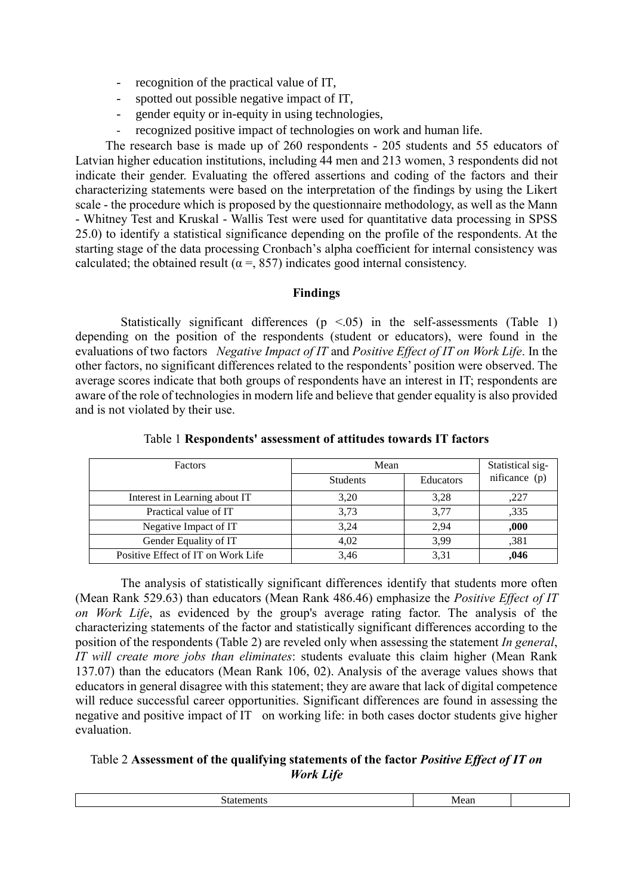- recognition of the practical value of IT,
- spotted out possible negative impact of IT,
- gender equity or in-equity in using technologies,
- recognized positive impact of technologies on work and human life.

The research base is made up of 260 respondents - 205 students and 55 educators of Latvian higher education institutions, including 44 men and 213 women, 3 respondents did not indicate their gender. Evaluating the offered assertions and coding of the factors and their characterizing statements were based on the interpretation of the findings by using the Likert scale - the procedure which is proposed by the questionnaire methodology, as well as the Mann - Whitney Test and Kruskal - Wallis Test were used for quantitative data processing in SPSS 25.0) to identify a statistical significance depending on the profile of the respondents. At the starting stage of the data processing Cronbach's alpha coefficient for internal consistency was calculated; the obtained result ( $\alpha =$ , 857) indicates good internal consistency.

## **Findings**

Statistically significant differences  $(p \le 0.05)$  in the self-assessments (Table 1) depending on the position of the respondents (student or educators), were found in the evaluations of two factors *Negative Impact of IT* and *Positive Effect of IT on Work Life*. In the other factors, no significant differences related to the respondents' position were observed. The average scores indicate that both groups of respondents have an interest in IT; respondents are aware of the role of technologies in modern life and believe that gender equality is also provided and is not violated by their use.

| <b>Factors</b>                     | Mean            | Statistical sig- |               |
|------------------------------------|-----------------|------------------|---------------|
|                                    | <b>Students</b> | Educators        | nificance (p) |
| Interest in Learning about IT      | 3.20            | 3,28             | ,227          |
| Practical value of IT              | 3.73            | 3,77             | .335          |
| Negative Impact of IT              | 3.24            | 2,94             | ,000          |
| Gender Equality of IT              | 4.02            | 3,99             | .381          |
| Positive Effect of IT on Work Life | 3.46            | 3,31             | ,046          |

Table 1 **Respondents' assessment of attitudes towards IT factors**

The analysis of statistically significant differences identify that students more often (Mean Rank 529.63) than educators (Mean Rank 486.46) emphasize the *Positive Effect of IT on Work Life*, as evidenced by the group's average rating factor. The analysis of the characterizing statements of the factor and statistically significant differences according to the position of the respondents (Table 2) are reveled only when assessing the statement *In general*, *IT will create more jobs than eliminates*: students evaluate this claim higher (Mean Rank 137.07) than the educators (Mean Rank 106, 02). Analysis of the average values shows that educators in general disagree with this statement; they are aware that lack of digital competence will reduce successful career opportunities. Significant differences are found in assessing the negative and positive impact of IT on working life: in both cases doctor students give higher evaluation.

# Table 2 **Assessment of the qualifying statements of the factor** *Positive Effect of IT on Work Life*

| .<br>'VICdi. |  |
|--------------|--|
|              |  |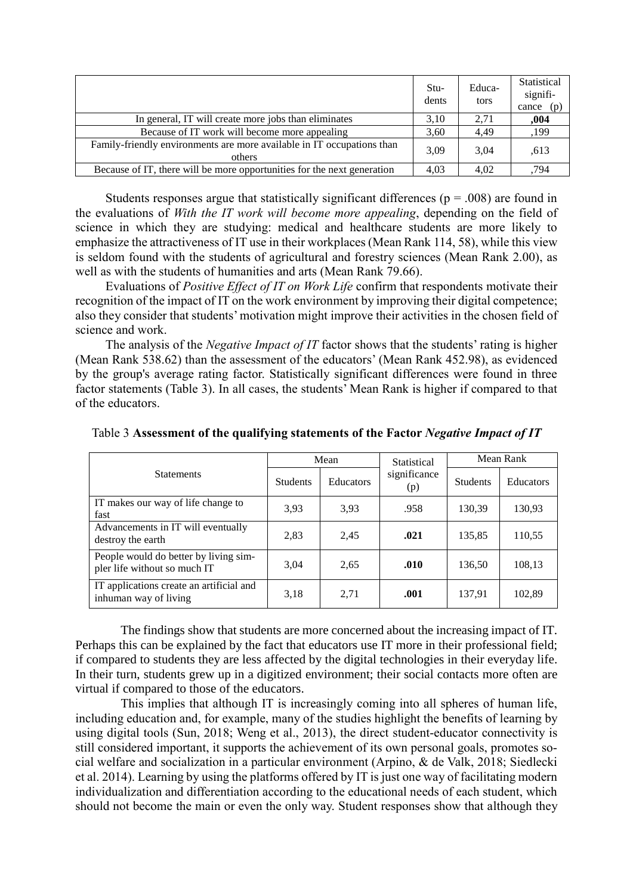|                                                                                  | Stu-<br>dents | Educa-<br>tors | Statistical<br>signifi-<br>cance $(p)$ |
|----------------------------------------------------------------------------------|---------------|----------------|----------------------------------------|
| In general, IT will create more jobs than eliminates                             | 3.10          | 2.71           | ,004                                   |
| Because of IT work will become more appealing                                    | 3.60          | 4.49           | ,199                                   |
| Family-friendly environments are more available in IT occupations than<br>others | 3.09          | 3.04           | .613                                   |
| Because of IT, there will be more opportunities for the next generation          | 4.03          | 4.02           | .794                                   |

Students responses argue that statistically significant differences ( $p = .008$ ) are found in the evaluations of *With the IT work will become more appealing*, depending on the field of science in which they are studying: medical and healthcare students are more likely to emphasize the attractiveness of IT use in their workplaces (Mean Rank 114, 58), while this view is seldom found with the students of agricultural and forestry sciences (Mean Rank 2.00), as well as with the students of humanities and arts (Mean Rank 79.66).

Evaluations of *Positive Effect of IT on Work Life* confirm that respondents motivate their recognition of the impact of IT on the work environment by improving their digital competence; also they consider that students' motivation might improve their activities in the chosen field of science and work.

The analysis of the *Negative Impact of IT* factor shows that the students' rating is higher (Mean Rank 538.62) than the assessment of the educators' (Mean Rank 452.98), as evidenced by the group's average rating factor. Statistically significant differences were found in three factor statements (Table 3). In all cases, the students' Mean Rank is higher if compared to that of the educators.

|                                                                       | Mean            |           | Statistical         | Mean Rank       |                  |
|-----------------------------------------------------------------------|-----------------|-----------|---------------------|-----------------|------------------|
| <b>Statements</b>                                                     | <b>Students</b> | Educators | significance<br>(p) | <b>Students</b> | <b>Educators</b> |
| IT makes our way of life change to<br>fast                            | 3.93            | 3.93      | .958                | 130,39          | 130,93           |
| Advancements in IT will eventually<br>destroy the earth               | 2,83            | 2,45      | .021                | 135,85          | 110,55           |
| People would do better by living sim-<br>pler life without so much IT | 3,04            | 2.65      | .010                | 136,50          | 108,13           |
| IT applications create an artificial and<br>inhuman way of living     | 3.18            | 2,71      | .001                | 137,91          | 102,89           |

Table 3 **Assessment of the qualifying statements of the Factor** *Negative Impact of IT*

The findings show that students are more concerned about the increasing impact of IT. Perhaps this can be explained by the fact that educators use IT more in their professional field; if compared to students they are less affected by the digital technologies in their everyday life. In their turn, students grew up in a digitized environment; their social contacts more often are virtual if compared to those of the educators.

This implies that although IT is increasingly coming into all spheres of human life, including education and, for example, many of the studies highlight the benefits of learning by using digital tools (Sun, 2018; Weng et al., 2013), the direct student-educator connectivity is still considered important, it supports the achievement of its own personal goals, promotes social welfare and socialization in a particular environment (Arpino, & de Valk, 2018; Siedlecki et al. 2014). Learning by using the platforms offered by IT is just one way of facilitating modern individualization and differentiation according to the educational needs of each student, which should not become the main or even the only way. Student responses show that although they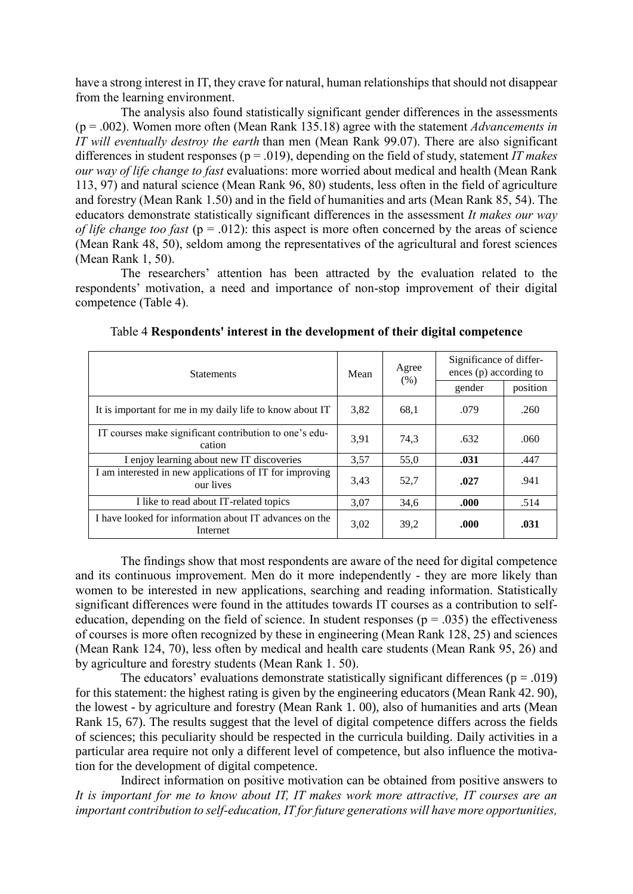have a strong interest in IT, they crave for natural, human relationships that should not disappear from the learning environment.

The analysis also found statistically significant gender differences in the assessments (p = .002). Women more often (Mean Rank 135.18) agree with the statement *Advancements in IT will eventually destroy the earth* than men (Mean Rank 99.07). There are also significant differences in student responses (p = .019), depending on the field of study, statement *IT makes our way of life change to fast* evaluations: more worried about medical and health (Mean Rank 113, 97) and natural science (Mean Rank 96, 80) students, less often in the field of agriculture and forestry (Mean Rank 1.50) and in the field of humanities and arts (Mean Rank 85, 54). The educators demonstrate statistically significant differences in the assessment *It makes our way of life change too fast* ( $p = .012$ ): this aspect is more often concerned by the areas of science (Mean Rank 48, 50), seldom among the representatives of the agricultural and forest sciences (Mean Rank 1, 50).

The researchers' attention has been attracted by the evaluation related to the respondents' motivation, a need and importance of non-stop improvement of their digital competence (Table 4).

| <b>Statements</b>                                                    | Mean | Agree<br>(% ) | Significance of differ-<br>ences (p) according to |          |
|----------------------------------------------------------------------|------|---------------|---------------------------------------------------|----------|
|                                                                      |      |               | gender                                            | position |
| It is important for me in my daily life to know about IT             | 3,82 | 68,1          | .079                                              | .260     |
| IT courses make significant contribution to one's edu-<br>cation     | 3,91 | 74,3          | .632                                              | .060     |
| I enjoy learning about new IT discoveries                            | 3,57 | 55,0          | .031                                              | .447     |
| I am interested in new applications of IT for improving<br>our lives | 3,43 | 52,7          | .027                                              | .941     |
| I like to read about IT-related topics                               | 3,07 | 34,6          | .000                                              | .514     |
| I have looked for information about IT advances on the<br>Internet   | 3,02 | 39,2          | .000                                              | .031     |

Table 4 **Respondents' interest in the development of their digital competence**

The findings show that most respondents are aware of the need for digital competence and its continuous improvement. Men do it more independently - they are more likely than women to be interested in new applications, searching and reading information. Statistically significant differences were found in the attitudes towards IT courses as a contribution to selfeducation, depending on the field of science. In student responses ( $p = .035$ ) the effectiveness of courses is more often recognized by these in engineering (Mean Rank 128, 25) and sciences (Mean Rank 124, 70), less often by medical and health care students (Mean Rank 95, 26) and by agriculture and forestry students (Mean Rank 1. 50).

The educators' evaluations demonstrate statistically significant differences ( $p = .019$ ) for this statement: the highest rating is given by the engineering educators (Mean Rank 42. 90), the lowest - by agriculture and forestry (Mean Rank 1. 00), also of humanities and arts (Mean Rank 15, 67). The results suggest that the level of digital competence differs across the fields of sciences; this peculiarity should be respected in the curricula building. Daily activities in a particular area require not only a different level of competence, but also influence the motivation for the development of digital competence.

Indirect information on positive motivation can be obtained from positive answers to *It is important for me to know about IT, IT makes work more attractive, IT courses are an important contribution to self-education, IT for future generations will have more opportunities,*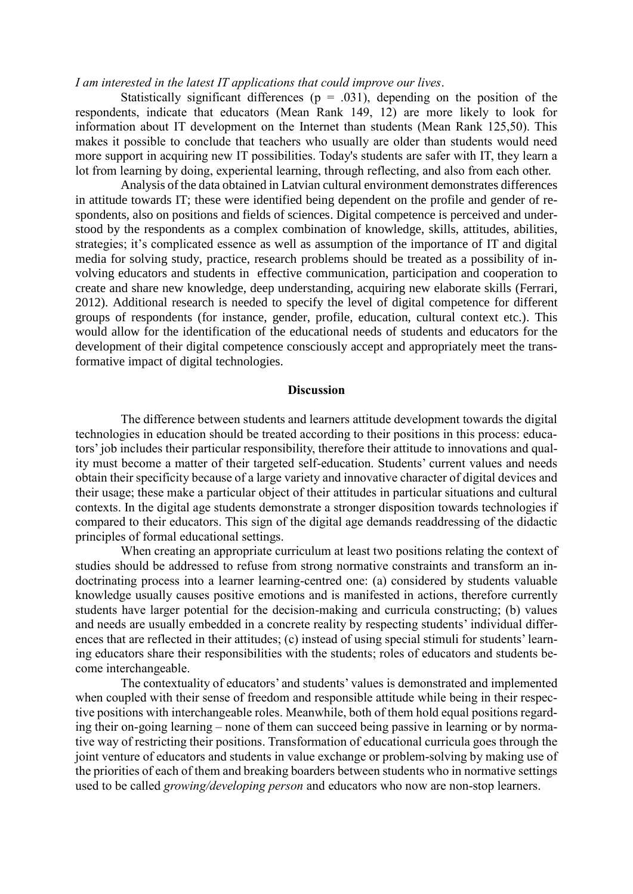### *I am interested in the latest IT applications that could improve our lives*.

Statistically significant differences ( $p = .031$ ), depending on the position of the respondents, indicate that educators (Mean Rank 149, 12) are more likely to look for information about IT development on the Internet than students (Mean Rank 125,50). This makes it possible to conclude that teachers who usually are older than students would need more support in acquiring new IT possibilities. Today's students are safer with IT, they learn a lot from learning by doing, experiental learning, through reflecting, and also from each other.

Analysis of the data obtained in Latvian cultural environment demonstrates differences in attitude towards IT; these were identified being dependent on the profile and gender of respondents, also on positions and fields of sciences. Digital competence is perceived and understood by the respondents as a complex combination of knowledge, skills, attitudes, abilities, strategies; it's complicated essence as well as assumption of the importance of IT and digital media for solving study, practice, research problems should be treated as a possibility of involving educators and students in effective communication, participation and cooperation to create and share new knowledge, deep understanding, acquiring new elaborate skills (Ferrari, 2012). Additional research is needed to specify the level of digital competence for different groups of respondents (for instance, gender, profile, education, cultural context etc.). This would allow for the identification of the educational needs of students and educators for the development of their digital competence consciously accept and appropriately meet the transformative impact of digital technologies.

#### **Discussion**

The difference between students and learners attitude development towards the digital technologies in education should be treated according to their positions in this process: educators' job includes their particular responsibility, therefore their attitude to innovations and quality must become a matter of their targeted self-education. Students' current values and needs obtain their specificity because of a large variety and innovative character of digital devices and their usage; these make a particular object of their attitudes in particular situations and cultural contexts. In the digital age students demonstrate a stronger disposition towards technologies if compared to their educators. This sign of the digital age demands readdressing of the didactic principles of formal educational settings.

When creating an appropriate curriculum at least two positions relating the context of studies should be addressed to refuse from strong normative constraints and transform an indoctrinating process into a learner learning-centred one: (a) considered by students valuable knowledge usually causes positive emotions and is manifested in actions, therefore currently students have larger potential for the decision-making and curricula constructing; (b) values and needs are usually embedded in a concrete reality by respecting students' individual differences that are reflected in their attitudes; (c) instead of using special stimuli for students' learning educators share their responsibilities with the students; roles of educators and students become interchangeable.

The contextuality of educators' and students' values is demonstrated and implemented when coupled with their sense of freedom and responsible attitude while being in their respective positions with interchangeable roles. Meanwhile, both of them hold equal positions regarding their on-going learning – none of them can succeed being passive in learning or by normative way of restricting their positions. Transformation of educational curricula goes through the joint venture of educators and students in value exchange or problem-solving by making use of the priorities of each of them and breaking boarders between students who in normative settings used to be called *growing/developing person* and educators who now are non-stop learners.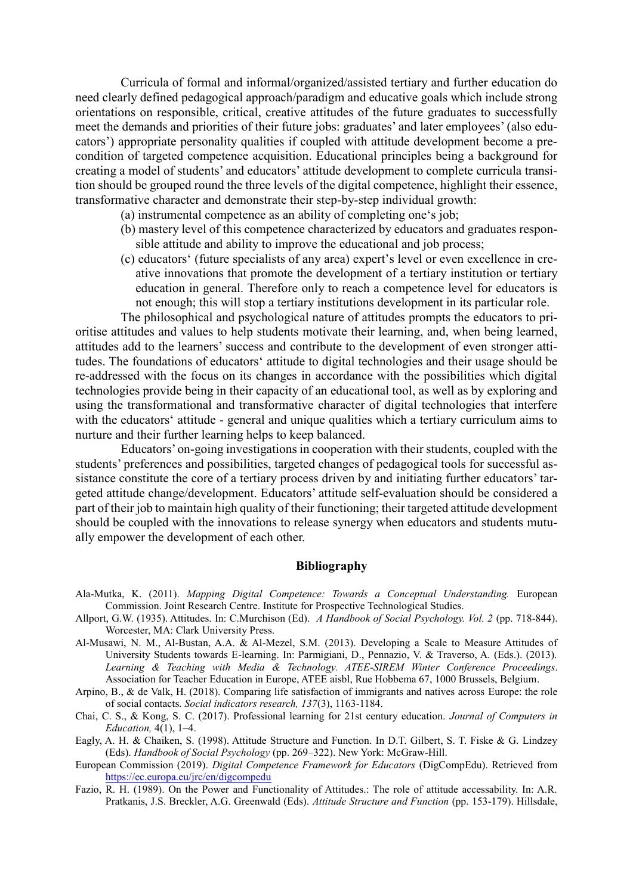Curricula of formal and informal/organized/assisted tertiary and further education do need clearly defined pedagogical approach/paradigm and educative goals which include strong orientations on responsible, critical, creative attitudes of the future graduates to successfully meet the demands and priorities of their future jobs: graduates' and later employees' (also educators') appropriate personality qualities if coupled with attitude development become a precondition of targeted competence acquisition. Educational principles being a background for creating a model of students' and educators' attitude development to complete curricula transition should be grouped round the three levels of the digital competence, highlight their essence, transformative character and demonstrate their step-by-step individual growth:

- (a) instrumental competence as an ability of completing one's job;
- (b) mastery level of this competence characterized by educators and graduates responsible attitude and ability to improve the educational and job process;
- (c) educators' (future specialists of any area) expert's level or even excellence in creative innovations that promote the development of a tertiary institution or tertiary education in general. Therefore only to reach a competence level for educators is not enough; this will stop a tertiary institutions development in its particular role.

The philosophical and psychological nature of attitudes prompts the educators to prioritise attitudes and values to help students motivate their learning, and, when being learned, attitudes add to the learners' success and contribute to the development of even stronger attitudes. The foundations of educators' attitude to digital technologies and their usage should be re-addressed with the focus on its changes in accordance with the possibilities which digital technologies provide being in their capacity of an educational tool, as well as by exploring and using the transformational and transformative character of digital technologies that interfere with the educators' attitude - general and unique qualities which a tertiary curriculum aims to nurture and their further learning helps to keep balanced.

Educators' on-going investigations in cooperation with their students, coupled with the students' preferences and possibilities, targeted changes of pedagogical tools for successful assistance constitute the core of a tertiary process driven by and initiating further educators' targeted attitude change/development. Educators' attitude self-evaluation should be considered a part of their job to maintain high quality of their functioning; their targeted attitude development should be coupled with the innovations to release synergy when educators and students mutually empower the development of each other.

#### **Bibliography**

- Ala-Mutka, K. (2011). *Mapping Digital Competence: Towards a Conceptual Understanding.* European Commission. Joint Research Centre. Institute for Prospective Technological Studies.
- Allport, G.W. (1935). Attitudes. In: C.Murchison (Ed). *A Handbook of Social Psychology. Vol. 2* (pp. 718-844). Worcester, MA: Clark University Press.
- Al-Musawi, N. M., Al-Bustan, A.A. & Al-Mezel, S.M. (2013). Developing a Scale to Measure Attitudes of University Students towards E-learning. In: Parmigiani, D., Pennazio, V. & Traverso, A. (Eds.). (2013). *Learning & Teaching with Media & Technology. ATEE-SIREM Winter Conference Proceedings*. Association for Teacher Education in Europe, ATEE aisbl, Rue Hobbema 67, 1000 Brussels, Belgium.
- Arpino, B., & de Valk, H. (2018). Comparing life satisfaction of immigrants and natives across Europe: the role of social contacts. *Social indicators research, 137*(3), 1163-1184.
- Chai, C. S., & Kong, S. C. (2017). Professional learning for 21st century education. *Journal of Computers in Education,* 4(1), 1–4.
- Eagly, A. H. & Chaiken, S. (1998). Attitude Structure and Function. In D.T. Gilbert, S. T. Fiske & G. Lindzey (Eds). *Handbook of Social Psychology* (pp. 269–322). New York: McGraw-Hill.
- European Commission (2019). *Digital Competence Framework for Educators* (DigCompEdu). Retrieved from <https://ec.europa.eu/jrc/en/digcompedu>
- Fazio, R. H. (1989). On the Power and Functionality of Attitudes.: The role of attitude accessability. In: A.R. Pratkanis, J.S. Breckler, A.G. Greenwald (Eds). *Attitude Structure and Function* (pp. 153-179). Hillsdale,